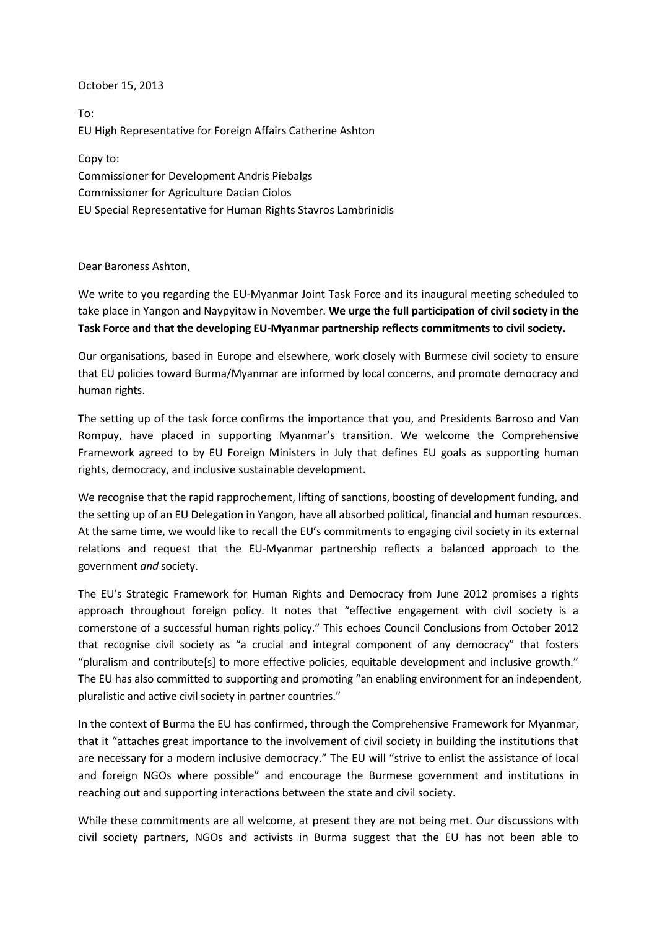## October 15, 2013

To: EU High Representative for Foreign Affairs Catherine Ashton

Copy to: Commissioner for Development Andris Piebalgs Commissioner for Agriculture Dacian Ciolos EU Special Representative for Human Rights Stavros Lambrinidis

Dear Baroness Ashton,

We write to you regarding the EU-Myanmar Joint Task Force and its inaugural meeting scheduled to take place in Yangon and Naypyitaw in November. **We urge the full participation of civil society in the Task Force and that the developing EU-Myanmar partnership reflects commitments to civil society.**

Our organisations, based in Europe and elsewhere, work closely with Burmese civil society to ensure that EU policies toward Burma/Myanmar are informed by local concerns, and promote democracy and human rights.

The setting up of the task force confirms the importance that you, and Presidents Barroso and Van Rompuy, have placed in supporting Myanmar's transition. We welcome the Comprehensive Framework agreed to by EU Foreign Ministers in July that defines EU goals as supporting human rights, democracy, and inclusive sustainable development.

We recognise that the rapid rapprochement, lifting of sanctions, boosting of development funding, and the setting up of an EU Delegation in Yangon, have all absorbed political, financial and human resources. At the same time, we would like to recall the EU's commitments to engaging civil society in its external relations and request that the EU-Myanmar partnership reflects a balanced approach to the government *and* society.

The EU's Strategic Framework for Human Rights and Democracy from June 2012 promises a rights approach throughout foreign policy. It notes that "effective engagement with civil society is a cornerstone of a successful human rights policy." This echoes Council Conclusions from October 2012 that recognise civil society as "a crucial and integral component of any democracy" that fosters "pluralism and contribute[s] to more effective policies, equitable development and inclusive growth." The EU has also committed to supporting and promoting "an enabling environment for an independent, pluralistic and active civil society in partner countries."

In the context of Burma the EU has confirmed, through the Comprehensive Framework for Myanmar, that it "attaches great importance to the involvement of civil society in building the institutions that are necessary for a modern inclusive democracy." The EU will "strive to enlist the assistance of local and foreign NGOs where possible" and encourage the Burmese government and institutions in reaching out and supporting interactions between the state and civil society.

While these commitments are all welcome, at present they are not being met. Our discussions with civil society partners, NGOs and activists in Burma suggest that the EU has not been able to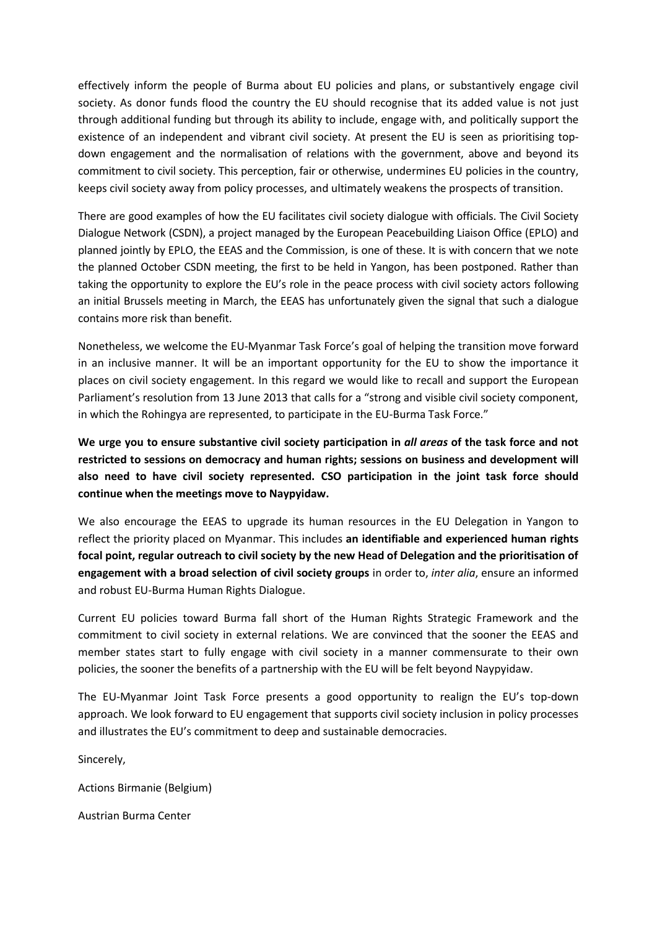effectively inform the people of Burma about EU policies and plans, or substantively engage civil society. As donor funds flood the country the EU should recognise that its added value is not just through additional funding but through its ability to include, engage with, and politically support the existence of an independent and vibrant civil society. At present the EU is seen as prioritising topdown engagement and the normalisation of relations with the government, above and beyond its commitment to civil society. This perception, fair or otherwise, undermines EU policies in the country, keeps civil society away from policy processes, and ultimately weakens the prospects of transition.

There are good examples of how the EU facilitates civil society dialogue with officials. The Civil Society Dialogue Network (CSDN), a project managed by the European Peacebuilding Liaison Office (EPLO) and planned jointly by EPLO, the EEAS and the Commission, is one of these. It is with concern that we note the planned October CSDN meeting, the first to be held in Yangon, has been postponed. Rather than taking the opportunity to explore the EU's role in the peace process with civil society actors following an initial Brussels meeting in March, the EEAS has unfortunately given the signal that such a dialogue contains more risk than benefit.

Nonetheless, we welcome the EU-Myanmar Task Force's goal of helping the transition move forward in an inclusive manner. It will be an important opportunity for the EU to show the importance it places on civil society engagement. In this regard we would like to recall and support the European Parliament's resolution from 13 June 2013 that calls for a "strong and visible civil society component, in which the Rohingya are represented, to participate in the EU-Burma Task Force."

**We urge you to ensure substantive civil society participation in** *all areas* **of the task force and not restricted to sessions on democracy and human rights; sessions on business and development will also need to have civil society represented. CSO participation in the joint task force should continue when the meetings move to Naypyidaw.**

We also encourage the EEAS to upgrade its human resources in the EU Delegation in Yangon to reflect the priority placed on Myanmar. This includes **an identifiable and experienced human rights focal point, regular outreach to civil society by the new Head of Delegation and the prioritisation of engagement with a broad selection of civil society groups** in order to, *inter alia*, ensure an informed and robust EU-Burma Human Rights Dialogue.

Current EU policies toward Burma fall short of the Human Rights Strategic Framework and the commitment to civil society in external relations. We are convinced that the sooner the EEAS and member states start to fully engage with civil society in a manner commensurate to their own policies, the sooner the benefits of a partnership with the EU will be felt beyond Naypyidaw.

The EU-Myanmar Joint Task Force presents a good opportunity to realign the EU's top-down approach. We look forward to EU engagement that supports civil society inclusion in policy processes and illustrates the EU's commitment to deep and sustainable democracies.

Sincerely,

Actions Birmanie (Belgium)

Austrian Burma Center